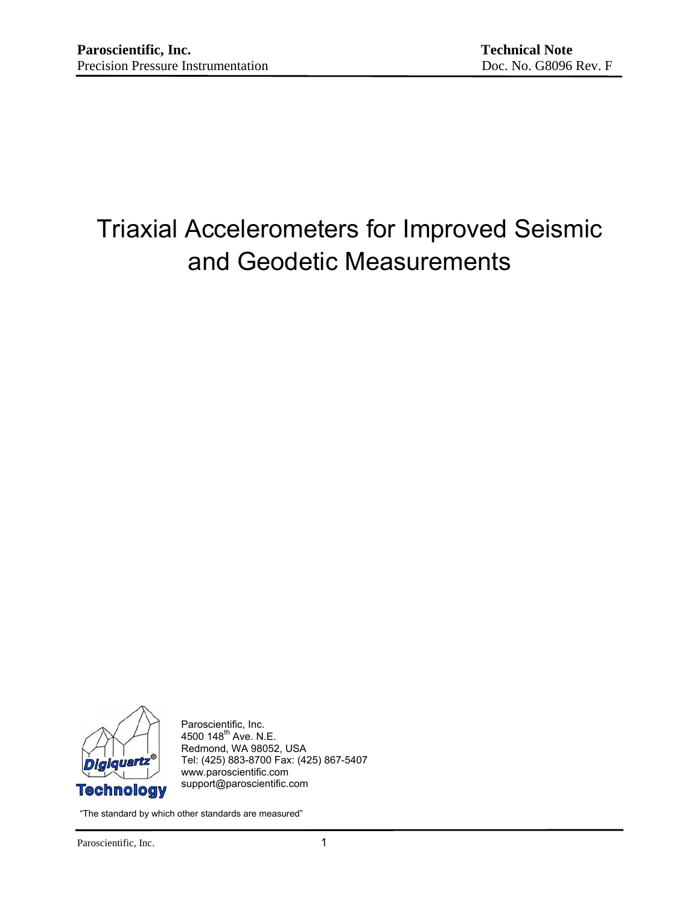# Triaxial Accelerometers for Improved Seismic and Geodetic Measurements



Paroscientific, Inc. 4500 148<sup>th</sup> Ave. N.E. Redmond, WA 98052, USA Tel: (425) 883-8700 Fax: (425) 867-5407 www.paroscientific.com support@paroscientific.com

"The standard by which other standards are measured"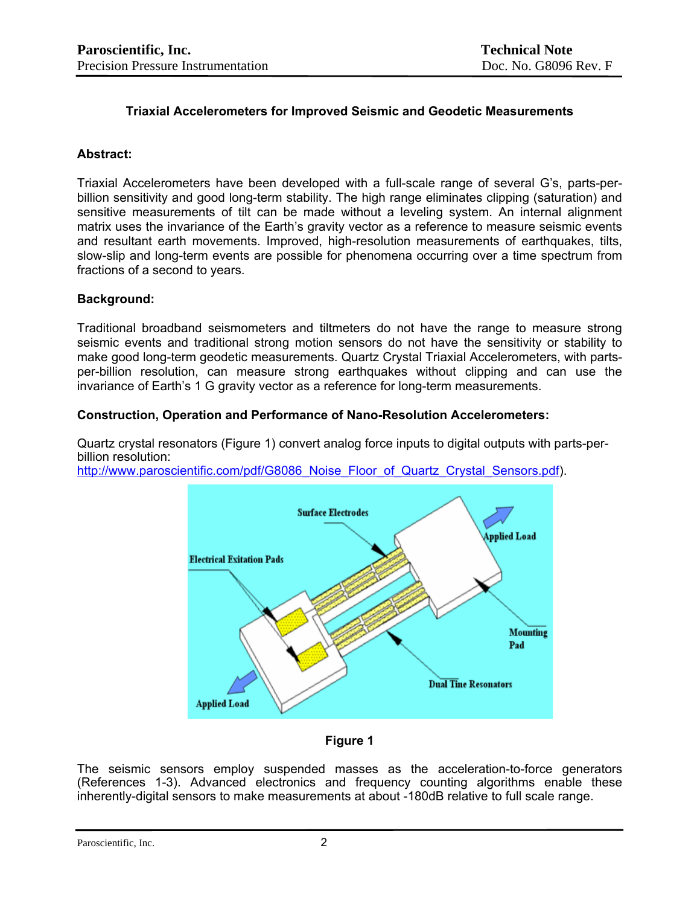# **Triaxial Accelerometers for Improved Seismic and Geodetic Measurements**

#### **Abstract:**

Triaxial Accelerometers have been developed with a full-scale range of several G's, parts-perbillion sensitivity and good long-term stability. The high range eliminates clipping (saturation) and sensitive measurements of tilt can be made without a leveling system. An internal alignment matrix uses the invariance of the Earth's gravity vector as a reference to measure seismic events and resultant earth movements. Improved, high-resolution measurements of earthquakes, tilts, slow-slip and long-term events are possible for phenomena occurring over a time spectrum from fractions of a second to years.

#### **Background:**

Traditional broadband seismometers and tiltmeters do not have the range to measure strong seismic events and traditional strong motion sensors do not have the sensitivity or stability to make good long-term geodetic measurements. Quartz Crystal Triaxial Accelerometers, with partsper-billion resolution, can measure strong earthquakes without clipping and can use the invariance of Earth's 1 G gravity vector as a reference for long-term measurements.

## **Construction, Operation and Performance of Nano-Resolution Accelerometers:**

Quartz crystal resonators (Figure 1) convert analog force inputs to digital outputs with parts-perbillion resolution:

http://www.paroscientific.com/pdf/G8086 Noise Floor of Quartz Crystal Sensors.pdf).



**Figure 1** 

The seismic sensors employ suspended masses as the acceleration-to-force generators (References 1-3). Advanced electronics and frequency counting algorithms enable these inherently-digital sensors to make measurements at about -180dB relative to full scale range.

Paroscientific, Inc. 2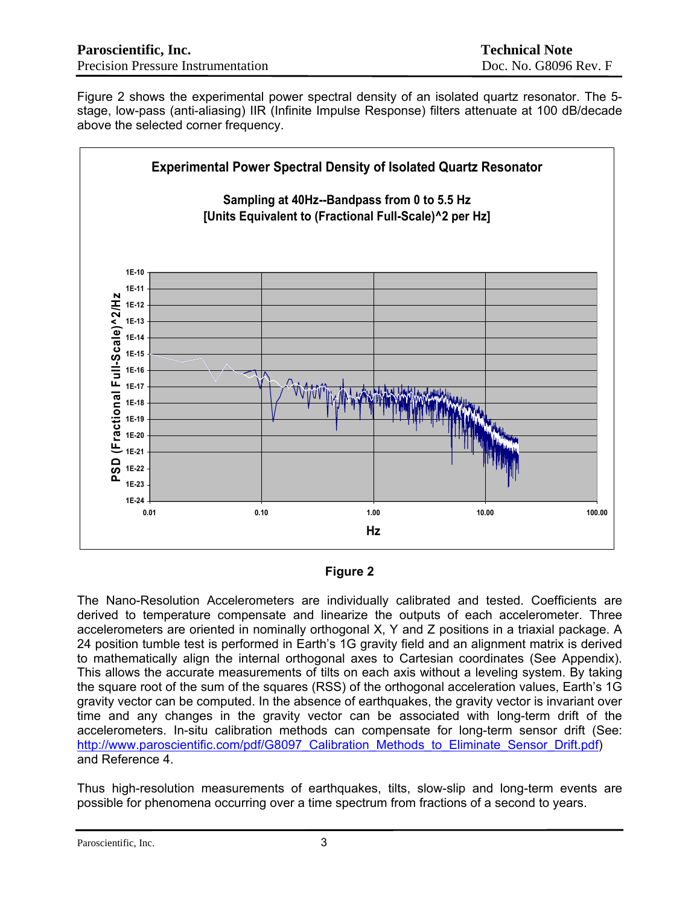Figure 2 shows the experimental power spectral density of an isolated quartz resonator. The 5 stage, low-pass (anti-aliasing) IIR (Infinite Impulse Response) filters attenuate at 100 dB/decade above the selected corner frequency.



## **Figure 2**

The Nano-Resolution Accelerometers are individually calibrated and tested. Coefficients are derived to temperature compensate and linearize the outputs of each accelerometer. Three accelerometers are oriented in nominally orthogonal X, Y and Z positions in a triaxial package. A 24 position tumble test is performed in Earth's 1G gravity field and an alignment matrix is derived to mathematically align the internal orthogonal axes to Cartesian coordinates (See Appendix). This allows the accurate measurements of tilts on each axis without a leveling system. By taking the square root of the sum of the squares (RSS) of the orthogonal acceleration values, Earth's 1G gravity vector can be computed. In the absence of earthquakes, the gravity vector is invariant over time and any changes in the gravity vector can be associated with long-term drift of the accelerometers. In-situ calibration methods can compensate for long-term sensor drift (See: http://www.paroscientific.com/pdf/G8097 Calibration Methods to Eliminate Sensor Drift.pdf) and Reference 4.

Thus high-resolution measurements of earthquakes, tilts, slow-slip and long-term events are possible for phenomena occurring over a time spectrum from fractions of a second to years.

Paroscientific, Inc. 3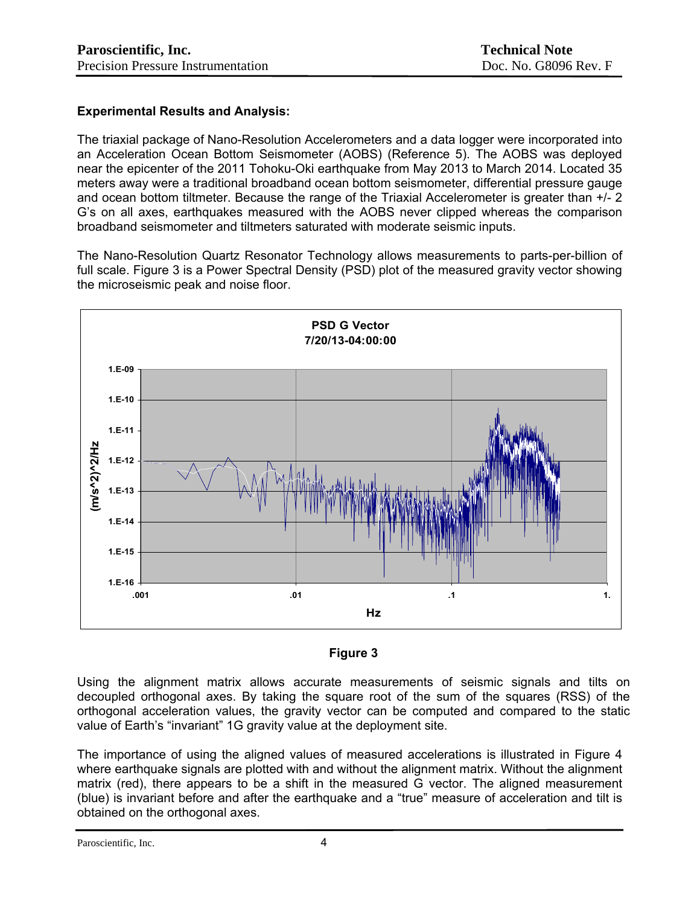# **Experimental Results and Analysis:**

The triaxial package of Nano-Resolution Accelerometers and a data logger were incorporated into an Acceleration Ocean Bottom Seismometer (AOBS) (Reference 5). The AOBS was deployed near the epicenter of the 2011 Tohoku-Oki earthquake from May 2013 to March 2014. Located 35 meters away were a traditional broadband ocean bottom seismometer, differential pressure gauge and ocean bottom tiltmeter. Because the range of the Triaxial Accelerometer is greater than +/- 2 G's on all axes, earthquakes measured with the AOBS never clipped whereas the comparison broadband seismometer and tiltmeters saturated with moderate seismic inputs.

The Nano-Resolution Quartz Resonator Technology allows measurements to parts-per-billion of full scale. Figure 3 is a Power Spectral Density (PSD) plot of the measured gravity vector showing the microseismic peak and noise floor.



## **Figure 3**

Using the alignment matrix allows accurate measurements of seismic signals and tilts on decoupled orthogonal axes. By taking the square root of the sum of the squares (RSS) of the orthogonal acceleration values, the gravity vector can be computed and compared to the static value of Earth's "invariant" 1G gravity value at the deployment site.

The importance of using the aligned values of measured accelerations is illustrated in Figure 4 where earthquake signals are plotted with and without the alignment matrix. Without the alignment matrix (red), there appears to be a shift in the measured G vector. The aligned measurement (blue) is invariant before and after the earthquake and a "true" measure of acceleration and tilt is obtained on the orthogonal axes.

Paroscientific, Inc. 4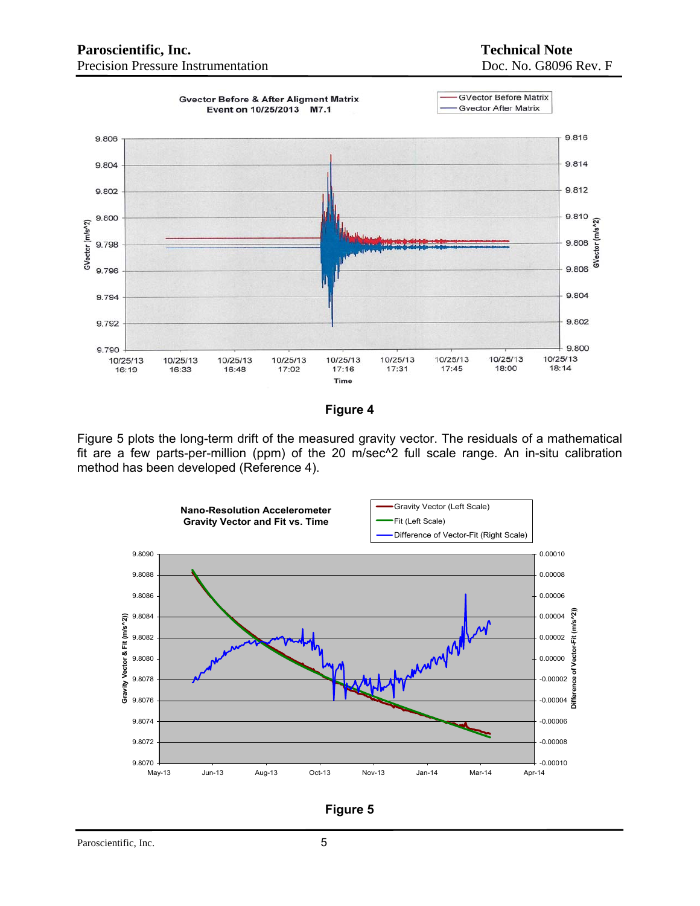## **Paroscientific, Inc.** Technical Note Precision Pressure Instrumentation Doc. No. G8096 Rev. F





Figure 5 plots the long-term drift of the measured gravity vector. The residuals of a mathematical fit are a few parts-per-million (ppm) of the 20 m/sec^2 full scale range. An in-situ calibration method has been developed (Reference 4).



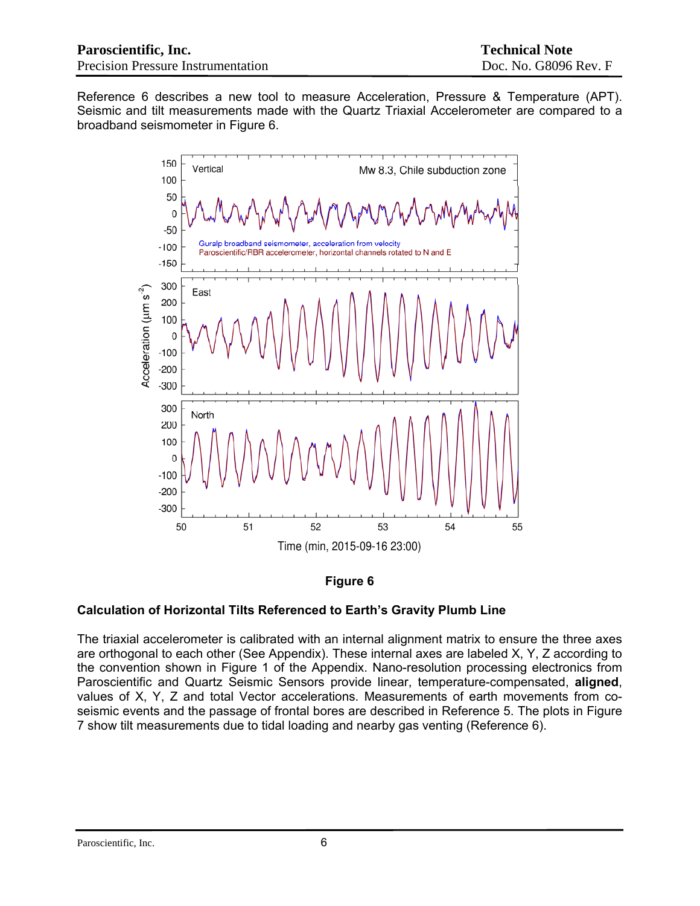Reference 6 describes a new tool to measure Acceleration, Pressure & Temperature (APT). Seismic and tilt measurements made with the Quartz Triaxial Accelerometer are compared to a broadband seismometer in Figure 6.



## **Figure 6**

## **Calculation of Horizontal Tilts Referenced to Earth's Gravity Plumb Line**

The triaxial accelerometer is calibrated with an internal alignment matrix to ensure the three axes are orthogonal to each other (See Appendix). These internal axes are labeled X, Y, Z according to the convention shown in Figure 1 of the Appendix. Nano-resolution processing electronics from Paroscientific and Quartz Seismic Sensors provide linear, temperature-compensated, **aligned**, values of X, Y, Z and total Vector accelerations. Measurements of earth movements from coseismic events and the passage of frontal bores are described in Reference 5. The plots in Figure 7 show tilt measurements due to tidal loading and nearby gas venting (Reference 6).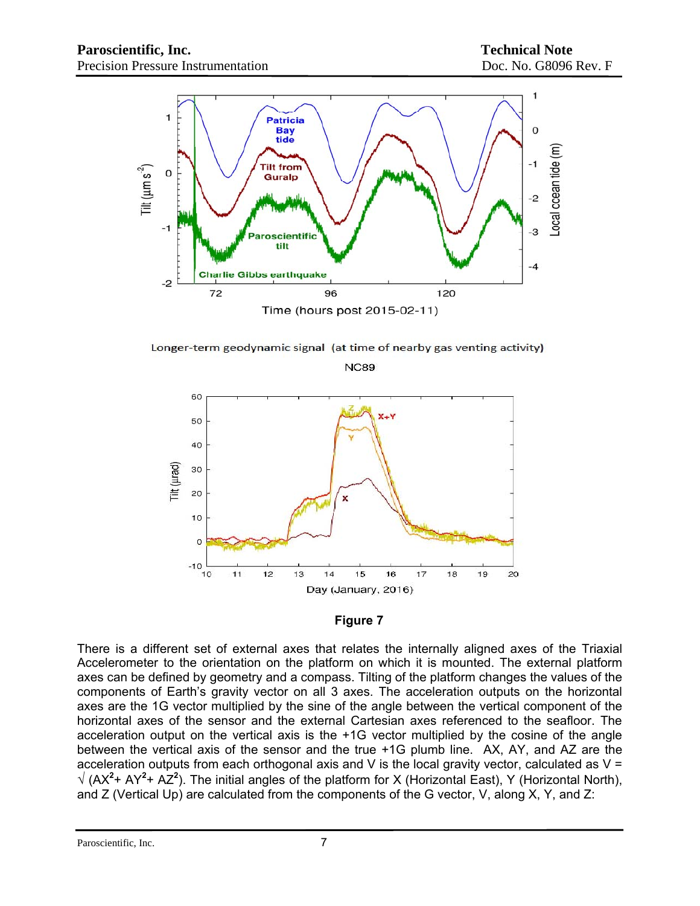

Longer-term geodynamic signal (at time of nearby gas venting activity) **NC89** 



#### **Figure 7**

There is a different set of external axes that relates the internally aligned axes of the Triaxial Accelerometer to the orientation on the platform on which it is mounted. The external platform axes can be defined by geometry and a compass. Tilting of the platform changes the values of the components of Earth's gravity vector on all 3 axes. The acceleration outputs on the horizontal axes are the 1G vector multiplied by the sine of the angle between the vertical component of the horizontal axes of the sensor and the external Cartesian axes referenced to the seafloor. The acceleration output on the vertical axis is the +1G vector multiplied by the cosine of the angle between the vertical axis of the sensor and the true +1G plumb line. AX, AY, and AZ are the acceleration outputs from each orthogonal axis and V is the local gravity vector, calculated as  $V =$ **√** (AX**<sup>2</sup>** + AY**<sup>2</sup>** + AZ**<sup>2</sup>** ). The initial angles of the platform for X (Horizontal East), Y (Horizontal North), and Z (Vertical Up) are calculated from the components of the G vector, V, along X, Y, and Z: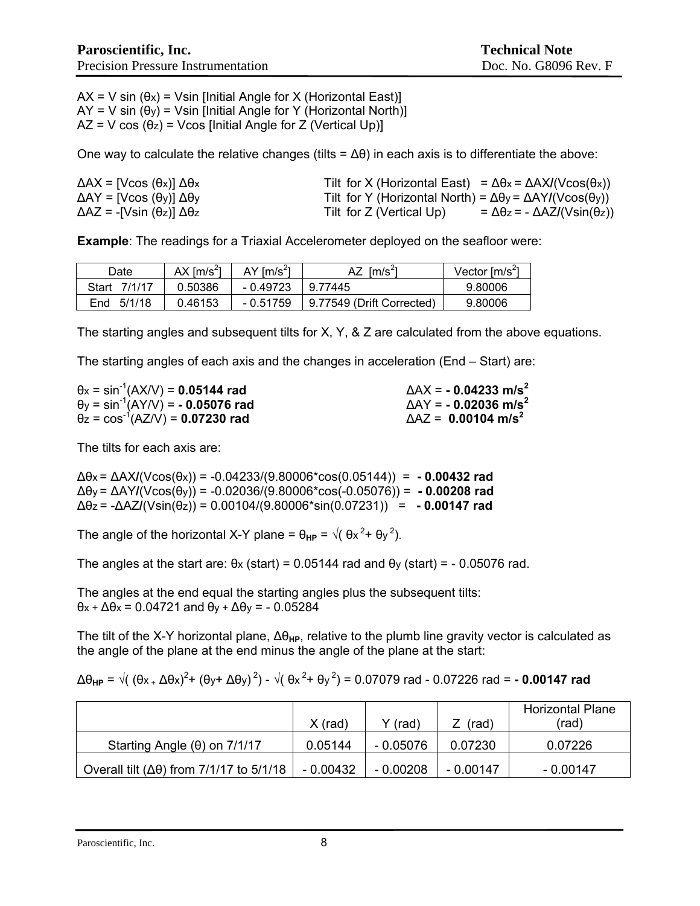$AX = V \sin(\theta x) = V \sin$  [Initial Angle for X (Horizontal East)]  $AY = V \sin(\theta_V) = V \sin$  [Initial Angle for Y (Horizontal North)]  $AZ = V \cos(\theta_z) = V \cos$  [Initial Angle for Z (Vertical Up)]

One way to calculate the relative changes (tilts =  $\Delta\theta$ ) in each axis is to differentiate the above:

| $\Delta AX = [V\cos(\theta x)] \Delta\theta x$       | Tilt for X (Horizontal East) = $\Delta \theta x = \Delta A X I (V \cos(\theta x))$ |
|------------------------------------------------------|------------------------------------------------------------------------------------|
| $\Delta$ AY = [Vcos (θy)] $\Delta$ θy                | Tilt for Y (Horizontal North) = $\Delta\theta$ y = $\Delta$ AY/(Vcos( $\theta$ y)) |
| $\Delta$ AZ = -[Vsin ( $\theta$ z)] $\Delta\theta$ z | = $\Delta\theta$ z = - $\Delta$ AZ/(Vsin( $\theta$ z))<br>Tilt for Z (Vertical Up) |

**Example**: The readings for a Triaxial Accelerometer deployed on the seafloor were:

| Date                   | AX $\text{Im/s}^2$ | $AY$ [m/s <sup>2</sup> ] | AZ<br>$\mathsf{Im/s}^2$   | Vector $\text{[m/s}^2\text{]}$ |
|------------------------|--------------------|--------------------------|---------------------------|--------------------------------|
| 7/1/17<br><b>Start</b> | 0.50386            | - 0.49723                | 9.77445                   | 9.80006                        |
| 5/1/18<br>End          | 0.46153            | $-0.51759$               | 9.77549 (Drift Corrected) | 9.80006                        |

The starting angles and subsequent tilts for X, Y, & Z are calculated from the above equations.

The starting angles of each axis and the changes in acceleration (End – Start) are:

| $\theta$ x = sin <sup>-1</sup> (AX/V) = <b>0.05144 rad</b>              | $\Delta$ AX = - 0.04233 m/s <sup>2</sup> |
|-------------------------------------------------------------------------|------------------------------------------|
| $\theta$ <sub>y</sub> = sin <sup>-1</sup> (AY/V) = - <b>0.05076 rad</b> | $\Delta$ AY = - 0.02036 m/s <sup>2</sup> |
| $\theta$ <sub>z</sub> = cos <sup>-1</sup> (AZ/V) = <b>0.07230 rad</b>   | $\Delta$ AZ = 0.00104 m/s <sup>2</sup>   |

The tilts for each axis are:

∆θx = ∆AX**/**(Vcos(θx)) = -0.04233/(9.80006\*cos(0.05144)) = **- 0.00432 rad**  ∆θy = ∆AY**/**(Vcos(θy)) = -0.02036/(9.80006\*cos(-0.05076)) = **- 0.00208 rad** ∆θz = -∆AZ**/**(Vsin(θz)) = 0.00104/(9.80006\*sin(0.07231)) = **- 0.00147 rad** 

The angle of the horizontal X-Y plane =  $\theta_{HP} = \sqrt{(9x^2 + 9y^2)}$ .

The angles at the start are:  $\theta$ x (start) = 0.05144 rad and  $\theta$ y (start) = - 0.05076 rad.

The angles at the end equal the starting angles plus the subsequent tilts: θx + ∆θx = 0.04721 and θy + ∆θy = - 0.05284

The tilt of the X-Y horizontal plane, Δθ<sub>HP</sub>, relative to the plumb line gravity vector is calculated as the angle of the plane at the end minus the angle of the plane at the start:

|  |  |  |  | $\Delta\theta_{HP} = \sqrt{(9x + \Delta\theta x)^2 + (9y + \Delta\theta y)^2} - \sqrt{(9x^2 + \theta y^2)} = 0.07079$ rad - 0.07226 rad = -0.00147 rad |
|--|--|--|--|--------------------------------------------------------------------------------------------------------------------------------------------------------|
|--|--|--|--|--------------------------------------------------------------------------------------------------------------------------------------------------------|

|                                                       | X (rad)   | (rad)      | (rad)     | <b>Horizontal Plane</b><br>(rad) |
|-------------------------------------------------------|-----------|------------|-----------|----------------------------------|
| Starting Angle $(\theta)$ on 7/1/17                   | 0.05144   | - 0.05076  | 0.07230   | 0.07226                          |
| Overall tilt ( $\Delta\theta$ ) from 7/1/17 to 5/1/18 | - 0.00432 | $-0.00208$ | - 0.00147 | - 0.00147                        |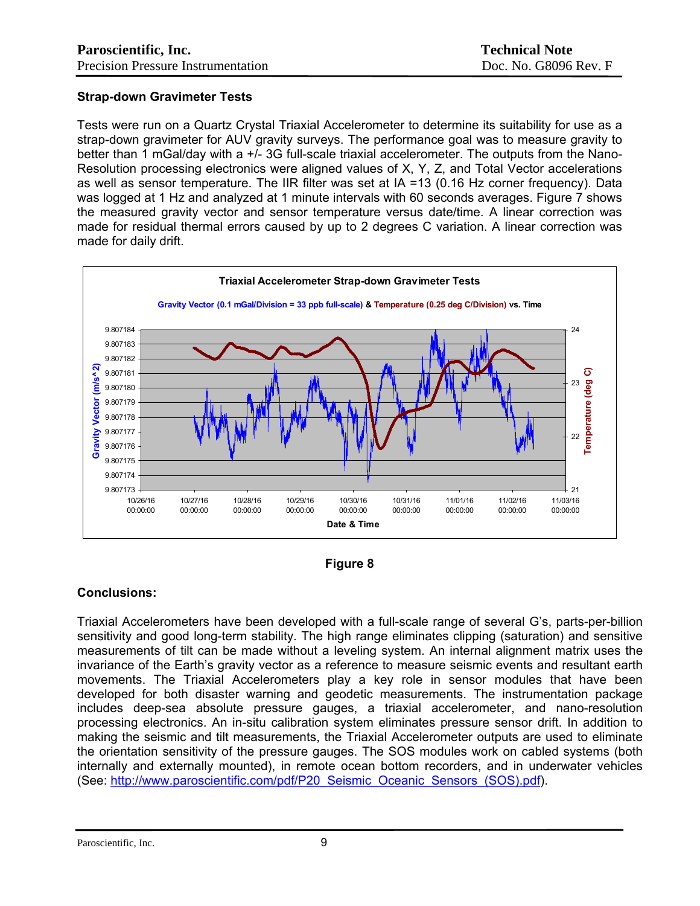# **Strap-down Gravimeter Tests**

Tests were run on a Quartz Crystal Triaxial Accelerometer to determine its suitability for use as a strap-down gravimeter for AUV gravity surveys. The performance goal was to measure gravity to better than 1 mGal/day with a +/- 3G full-scale triaxial accelerometer. The outputs from the Nano-Resolution processing electronics were aligned values of X, Y, Z, and Total Vector accelerations as well as sensor temperature. The IIR filter was set at IA =13 (0.16 Hz corner frequency). Data was logged at 1 Hz and analyzed at 1 minute intervals with 60 seconds averages. Figure 7 shows the measured gravity vector and sensor temperature versus date/time. A linear correction was made for residual thermal errors caused by up to 2 degrees C variation. A linear correction was made for daily drift.





## **Conclusions:**

Triaxial Accelerometers have been developed with a full-scale range of several G's, parts-per-billion sensitivity and good long-term stability. The high range eliminates clipping (saturation) and sensitive measurements of tilt can be made without a leveling system. An internal alignment matrix uses the invariance of the Earth's gravity vector as a reference to measure seismic events and resultant earth movements. The Triaxial Accelerometers play a key role in sensor modules that have been developed for both disaster warning and geodetic measurements. The instrumentation package includes deep-sea absolute pressure gauges, a triaxial accelerometer, and nano-resolution processing electronics. An in-situ calibration system eliminates pressure sensor drift. In addition to making the seismic and tilt measurements, the Triaxial Accelerometer outputs are used to eliminate the orientation sensitivity of the pressure gauges. The SOS modules work on cabled systems (both internally and externally mounted), in remote ocean bottom recorders, and in underwater vehicles (See: [http://www.paroscientific.com/pdf/P20\\_Seismic\\_Oceanic\\_Sensors\\_\(SOS\).pdf\)](http://www.paroscientific.com/pdf/P20_Seismic_Oceanic_Sensors_(SOS).pdf).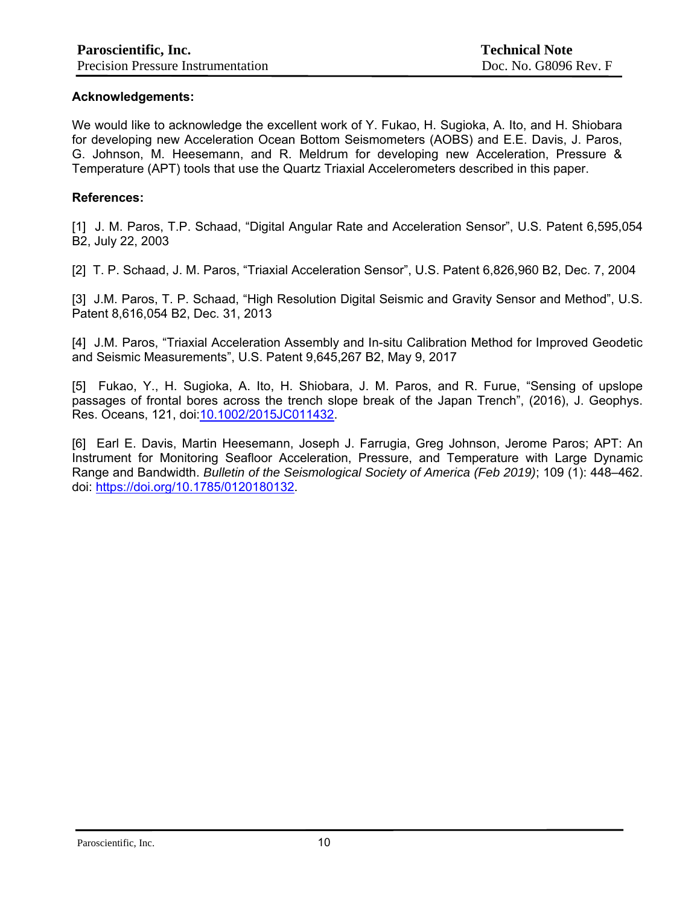#### **Acknowledgements:**

We would like to acknowledge the excellent work of Y. Fukao, H. Sugioka, A. Ito, and H. Shiobara for developing new Acceleration Ocean Bottom Seismometers (AOBS) and E.E. Davis, J. Paros, G. Johnson, M. Heesemann, and R. Meldrum for developing new Acceleration, Pressure & Temperature (APT) tools that use the Quartz Triaxial Accelerometers described in this paper.

#### **References:**

[1] J. M. Paros, T.P. Schaad, "Digital Angular Rate and Acceleration Sensor", U.S. Patent 6.595.054 B2, July 22, 2003

[2] T. P. Schaad, J. M. Paros, "Triaxial Acceleration Sensor", U.S. Patent 6,826,960 B2, Dec. 7, 2004

[3] J.M. Paros, T. P. Schaad, "High Resolution Digital Seismic and Gravity Sensor and Method", U.S. Patent 8,616,054 B2, Dec. 31, 2013

[4] J.M. Paros, "Triaxial Acceleration Assembly and In-situ Calibration Method for Improved Geodetic and Seismic Measurements", U.S. Patent 9,645,267 B2, May 9, 2017

[5] Fukao, Y., H. Sugioka, A. Ito, H. Shiobara, J. M. Paros, and R. Furue, "Sensing of upslope passages of frontal bores across the trench slope break of the Japan Trench", (2016), J. Geophys. Res. Oceans, 121, doi: [10.1002/2015JC011432](http://dx.doi.org/10.1002/2015JC011432).

[6] Earl E. Davis, Martin Heesemann, Joseph J. Farrugia, Greg Johnson, Jerome Paros; APT: An Instrument for Monitoring Seafloor Acceleration, Pressure, and Temperature with Large Dynamic Range and Bandwidth. *Bulletin of the Seismological Society of America (Feb 2019)*; 109 (1): 448–462. doi: [https://doi.org/10.1785/0120180132.](https://doi.org/10.1785/0120180132)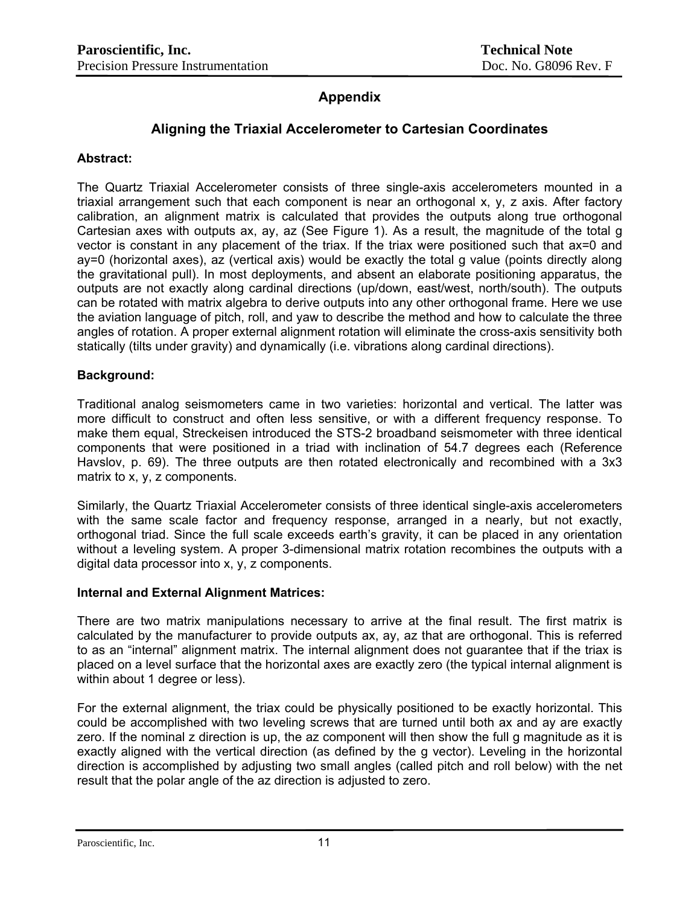# **Appendix**

# **Aligning the Triaxial Accelerometer to Cartesian Coordinates**

#### **Abstract:**

The Quartz Triaxial Accelerometer consists of three single-axis accelerometers mounted in a triaxial arrangement such that each component is near an orthogonal x, y, z axis. After factory calibration, an alignment matrix is calculated that provides the outputs along true orthogonal Cartesian axes with outputs ax, ay, az (See Figure 1). As a result, the magnitude of the total g vector is constant in any placement of the triax. If the triax were positioned such that ax=0 and ay=0 (horizontal axes), az (vertical axis) would be exactly the total g value (points directly along the gravitational pull). In most deployments, and absent an elaborate positioning apparatus, the outputs are not exactly along cardinal directions (up/down, east/west, north/south). The outputs can be rotated with matrix algebra to derive outputs into any other orthogonal frame. Here we use the aviation language of pitch, roll, and yaw to describe the method and how to calculate the three angles of rotation. A proper external alignment rotation will eliminate the cross-axis sensitivity both statically (tilts under gravity) and dynamically (i.e. vibrations along cardinal directions).

## **Background:**

Traditional analog seismometers came in two varieties: horizontal and vertical. The latter was more difficult to construct and often less sensitive, or with a different frequency response. To make them equal, Streckeisen introduced the STS-2 broadband seismometer with three identical components that were positioned in a triad with inclination of 54.7 degrees each (Reference Havslov, p. 69). The three outputs are then rotated electronically and recombined with a 3x3 matrix to x, y, z components.

Similarly, the Quartz Triaxial Accelerometer consists of three identical single-axis accelerometers with the same scale factor and frequency response, arranged in a nearly, but not exactly, orthogonal triad. Since the full scale exceeds earth's gravity, it can be placed in any orientation without a leveling system. A proper 3-dimensional matrix rotation recombines the outputs with a digital data processor into x, y, z components.

#### **Internal and External Alignment Matrices:**

There are two matrix manipulations necessary to arrive at the final result. The first matrix is calculated by the manufacturer to provide outputs ax, ay, az that are orthogonal. This is referred to as an "internal" alignment matrix. The internal alignment does not guarantee that if the triax is placed on a level surface that the horizontal axes are exactly zero (the typical internal alignment is within about 1 degree or less).

For the external alignment, the triax could be physically positioned to be exactly horizontal. This could be accomplished with two leveling screws that are turned until both ax and ay are exactly zero. If the nominal z direction is up, the az component will then show the full g magnitude as it is exactly aligned with the vertical direction (as defined by the g vector). Leveling in the horizontal direction is accomplished by adjusting two small angles (called pitch and roll below) with the net result that the polar angle of the az direction is adjusted to zero.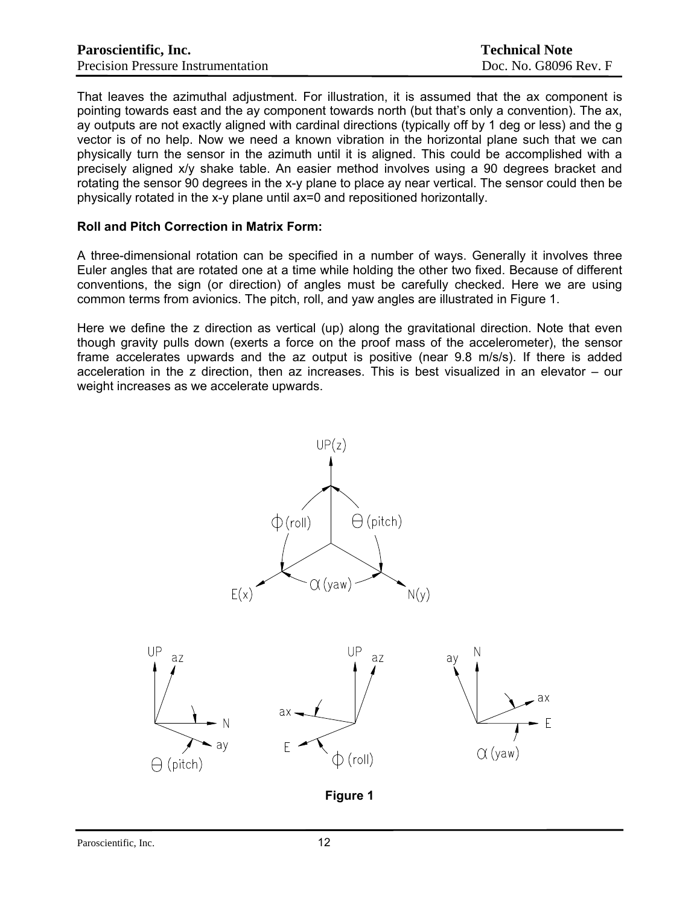| Paroscientific, Inc.                      | <b>Technical Note</b> |
|-------------------------------------------|-----------------------|
| <b>Precision Pressure Instrumentation</b> | Doc. No. G8096 Rev. F |

That leaves the azimuthal adjustment. For illustration, it is assumed that the ax component is pointing towards east and the ay component towards north (but that's only a convention). The ax, ay outputs are not exactly aligned with cardinal directions (typically off by 1 deg or less) and the g vector is of no help. Now we need a known vibration in the horizontal plane such that we can physically turn the sensor in the azimuth until it is aligned. This could be accomplished with a precisely aligned x/y shake table. An easier method involves using a 90 degrees bracket and rotating the sensor 90 degrees in the x-y plane to place ay near vertical. The sensor could then be physically rotated in the x-y plane until ax=0 and repositioned horizontally.

#### **Roll and Pitch Correction in Matrix Form:**

A three-dimensional rotation can be specified in a number of ways. Generally it involves three Euler angles that are rotated one at a time while holding the other two fixed. Because of different conventions, the sign (or direction) of angles must be carefully checked. Here we are using common terms from avionics. The pitch, roll, and yaw angles are illustrated in Figure 1.

Here we define the z direction as vertical (up) along the gravitational direction. Note that even though gravity pulls down (exerts a force on the proof mass of the accelerometer), the sensor frame accelerates upwards and the az output is positive (near 9.8 m/s/s). If there is added acceleration in the z direction, then az increases. This is best visualized in an elevator – our weight increases as we accelerate upwards.



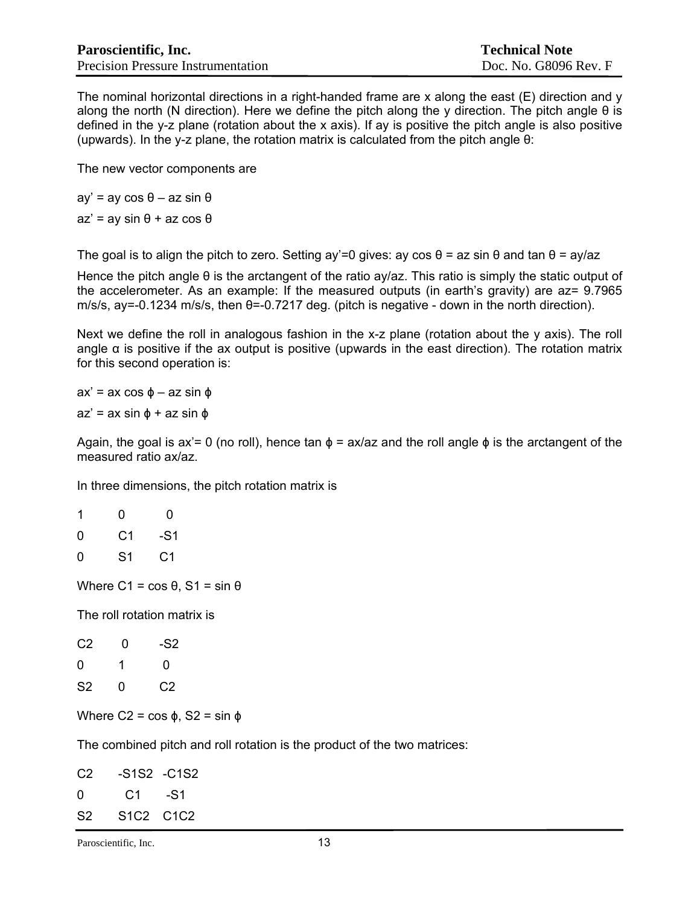The nominal horizontal directions in a right-handed frame are x along the east  $(E)$  direction and y along the north (N direction). Here we define the pitch along the y direction. The pitch angle θ is defined in the y-z plane (rotation about the x axis). If ay is positive the pitch angle is also positive (upwards). In the y-z plane, the rotation matrix is calculated from the pitch angle θ:

The new vector components are

ay' = ay cos θ – az sin θ  $az' = av \sin \theta + az \cos \theta$ 

The goal is to align the pitch to zero. Setting ay'=0 gives: ay cos  $\theta$  = az sin  $\theta$  and tan  $\theta$  = ay/az

Hence the pitch angle θ is the arctangent of the ratio ay/az. This ratio is simply the static output of the accelerometer. As an example: If the measured outputs (in earth's gravity) are az= 9.7965 m/s/s, ay=-0.1234 m/s/s, then θ=-0.7217 deg. (pitch is negative - down in the north direction).

Next we define the roll in analogous fashion in the x-z plane (rotation about the y axis). The roll angle  $\alpha$  is positive if the ax output is positive (upwards in the east direction). The rotation matrix for this second operation is:

 $ax' = ax \cos \phi - az \sin \phi$  $az' = ax \sin \phi + az \sin \phi$ 

Again, the goal is ax'= 0 (no roll), hence tan  $\phi$  = ax/az and the roll angle  $\phi$  is the arctangent of the measured ratio ax/az.

In three dimensions, the pitch rotation matrix is

| 1 | 0  | 0   |
|---|----|-----|
| 0 | C1 | -S1 |
| 0 | S1 | C1  |

Where  $C1 = cos θ$ ,  $S1 = sin θ$ 

The roll rotation matrix is

| C <sub>2</sub> | 0 | -S2 |
|----------------|---|-----|
| $\Omega$       | 1 | 0   |
| S <sub>2</sub> | 0 | C2  |

Where  $C2 = \cos \phi$ ,  $S2 = \sin \phi$ 

The combined pitch and roll rotation is the product of the two matrices:

| C2             |           | -S1S2 -C1S2 |
|----------------|-----------|-------------|
| O              | C1 - S1   |             |
| S <sub>2</sub> | S1C2 C1C2 |             |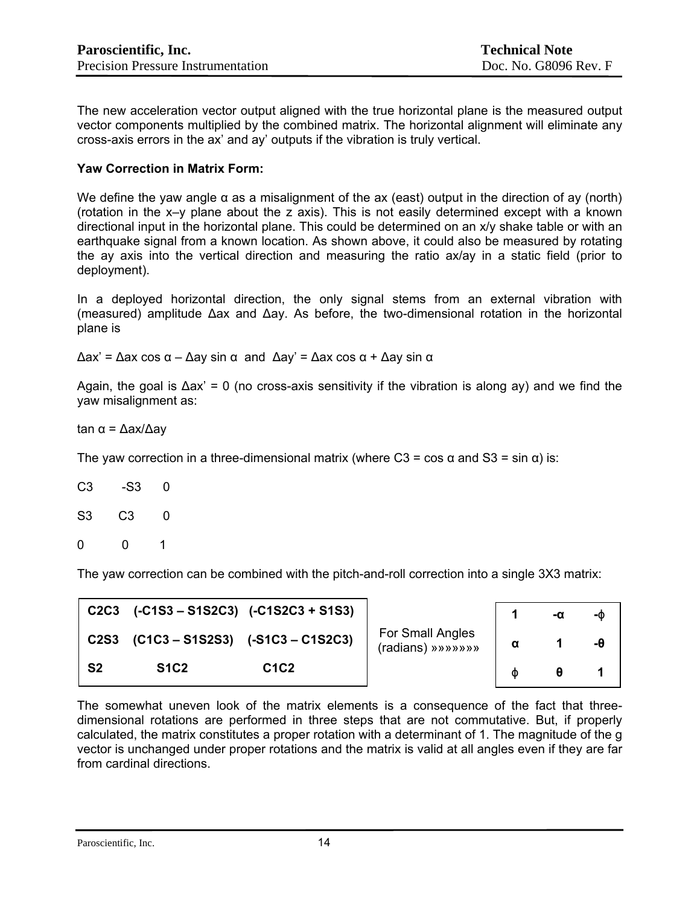The new acceleration vector output aligned with the true horizontal plane is the measured output vector components multiplied by the combined matrix. The horizontal alignment will eliminate any cross-axis errors in the ax' and ay' outputs if the vibration is truly vertical.

## **Yaw Correction in Matrix Form:**

We define the yaw angle  $\alpha$  as a misalignment of the ax (east) output in the direction of ay (north) (rotation in the x–y plane about the z axis). This is not easily determined except with a known directional input in the horizontal plane. This could be determined on an x/y shake table or with an earthquake signal from a known location. As shown above, it could also be measured by rotating the ay axis into the vertical direction and measuring the ratio ax/ay in a static field (prior to deployment).

In a deployed horizontal direction, the only signal stems from an external vibration with (measured) amplitude ∆ax and ∆ay. As before, the two-dimensional rotation in the horizontal plane is

∆ax' = ∆ax cos α – ∆ay sin α and ∆ay' = ∆ax cos α + ∆ay sin α

Again, the goal is ∆ax' = 0 (no cross-axis sensitivity if the vibration is along ay) and we find the yaw misalignment as:

tan α = ∆ax/∆ay

The yaw correction in a three-dimensional matrix (where C3 = cos  $\alpha$  and S3 = sin  $\alpha$ ) is:

| C3 | -S3 | 0            |
|----|-----|--------------|
| S3 | C3  | 0            |
| 0  | 0   | $\mathbf{1}$ |

The yaw correction can be combined with the pitch-and-roll correction into a single 3X3 matrix:

| C2C3        |             | $(C1S3 - S1S2C3)$ $(C1S2C3 + S1S3)$  |                                       |   | -ወ |
|-------------|-------------|--------------------------------------|---------------------------------------|---|----|
| <b>C2S3</b> |             | $(C1C3 - S1S2S3)$ $(-S1C3 - C1S2C3)$ | For Small Angles<br>(radians) »»»»»»» | α | -0 |
| -S2         | <b>S1C2</b> | C <sub>1</sub> C <sub>2</sub>        |                                       | Φ |    |

The somewhat uneven look of the matrix elements is a consequence of the fact that threedimensional rotations are performed in three steps that are not commutative. But, if properly calculated, the matrix constitutes a proper rotation with a determinant of 1. The magnitude of the g vector is unchanged under proper rotations and the matrix is valid at all angles even if they are far from cardinal directions.

Paroscientific, Inc. 14